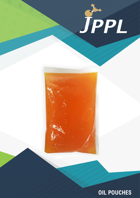

# **OIL POUCHES**